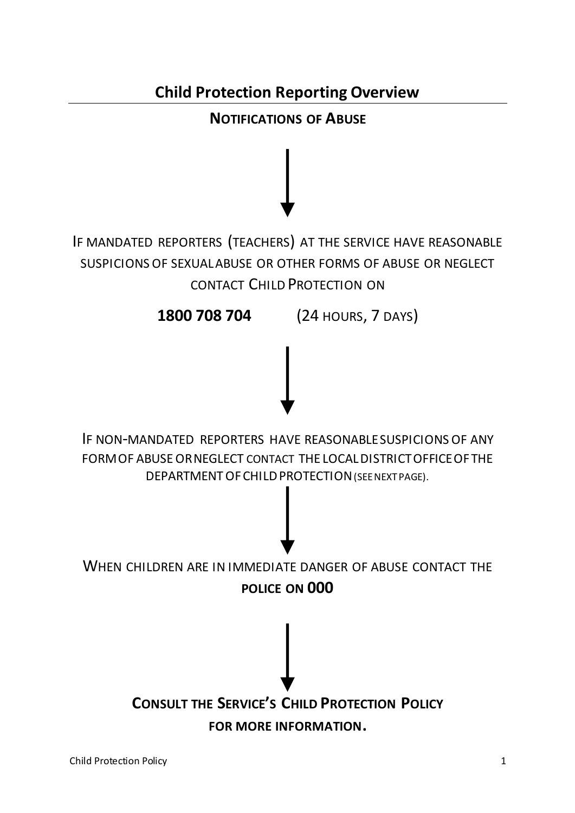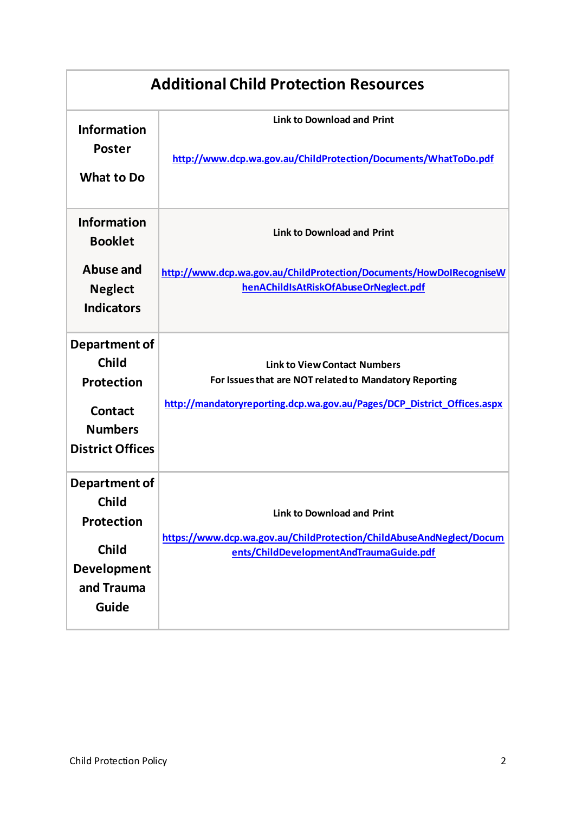| <b>Additional Child Protection Resources</b>                                                               |                                                                                                                                                                          |  |  |  |  |  |
|------------------------------------------------------------------------------------------------------------|--------------------------------------------------------------------------------------------------------------------------------------------------------------------------|--|--|--|--|--|
| <b>Information</b><br><b>Poster</b><br><b>What to Do</b>                                                   | <b>Link to Download and Print</b><br>http://www.dcp.wa.gov.au/ChildProtection/Documents/WhatToDo.pdf                                                                     |  |  |  |  |  |
| <b>Information</b><br><b>Booklet</b>                                                                       | <b>Link to Download and Print</b>                                                                                                                                        |  |  |  |  |  |
| Abuse and<br><b>Neglect</b><br><b>Indicators</b>                                                           | http://www.dcp.wa.gov.au/ChildProtection/Documents/HowDoIRecogniseW<br>henAChildIsAtRiskOfAbuseOrNeglect.pdf                                                             |  |  |  |  |  |
| Department of<br><b>Child</b><br>Protection<br><b>Contact</b><br><b>Numbers</b><br><b>District Offices</b> | <b>Link to View Contact Numbers</b><br>For Issues that are NOT related to Mandatory Reporting<br>http://mandatoryreporting.dcp.wa.gov.au/Pages/DCP_District_Offices.aspx |  |  |  |  |  |
| Department of<br><b>Child</b><br>Protection<br><b>Child</b><br><b>Development</b><br>and Trauma<br>Guide   | <b>Link to Download and Print</b><br>https://www.dcp.wa.gov.au/ChildProtection/ChildAbuseAndNeglect/Docum<br>ents/ChildDevelopmentAndTraumaGuide.pdf                     |  |  |  |  |  |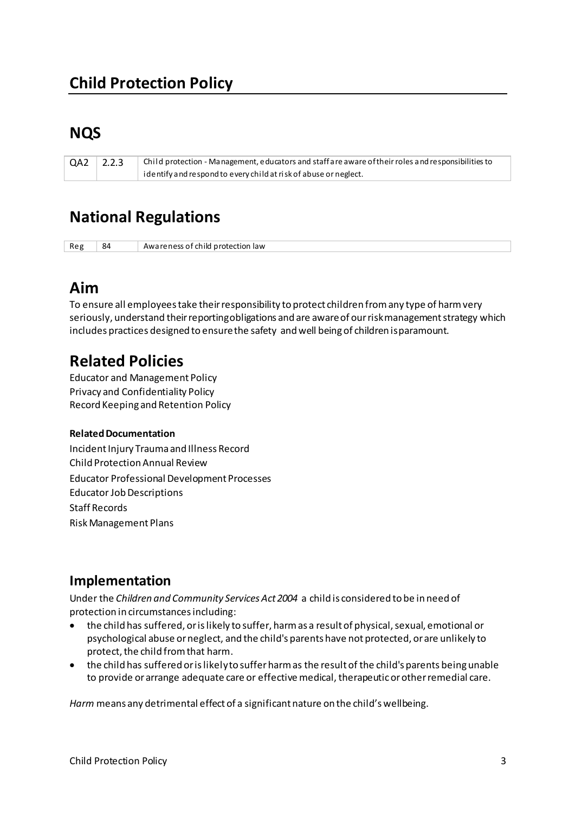# **NQS**

QA2  $2.2.3$ Child protection - Management, educators and staff are aware of their roles and responsibilities to identify and respond to every child at risk of abuse or neglect.

## **National Regulations**

Reg 84 Awareness of child protection law

## Aim

To ensure all employees take their responsibility to protect children from any type of harm very seriously, understand their reporting obligations and are aware of our risk management strategy which includes practices designed to ensure the safety and well being of children is paramount.

## **Related Policies**

**Educator and Management Policy Privacy and Confidentiality Policy** Record Keeping and Retention Policy

#### **Related Documentation**

Incident Injury Trauma and Illness Record Child Protection Annual Review **Educator Professional Development Processes Educator Job Descriptions Staff Records Risk Management Plans** 

## Implementation

Under the Children and Community Services Act 2004 a child is considered to be in need of protection in circumstances including:

- the child has suffered, or is likely to suffer, harm as a result of physical, sexual, emotional or psychological abuse or neglect, and the child's parents have not protected, or are unlikely to protect, the child from that harm.
- the child has suffered or is likely to suffer harm as the result of the child's parents being unable to provide or arrange adequate care or effective medical, therapeutic or other remedial care.

Harm means any detrimental effect of a significant nature on the child's wellbeing.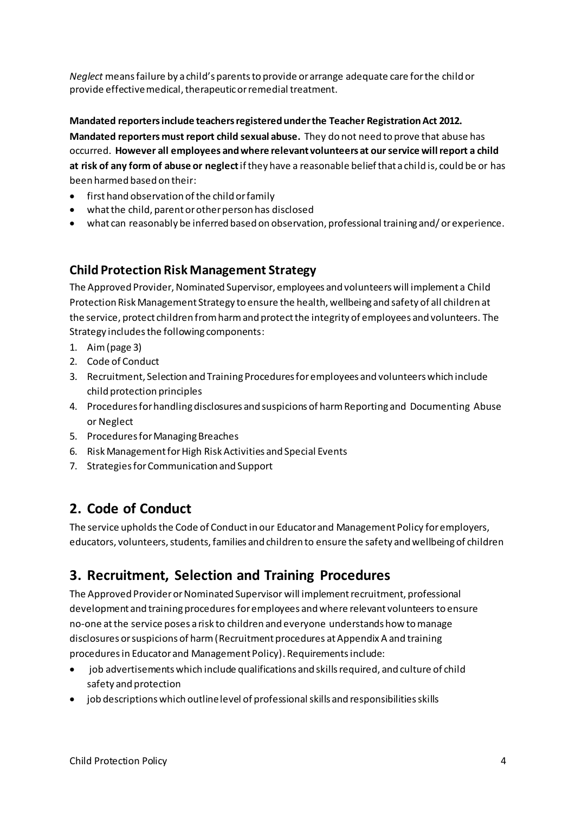*Neglect* means failure by a child's parents to provide or arrange adequate care for the child or provide effective medical, therapeutic or remedial treatment.

**Mandated reporters include teachers registered under the Teacher Registration Act 2012. Mandated reporters must report child sexual abuse.** They do not need to prove that abuse has occurred. **However all employees and where relevant volunteers at our service will report a child at risk of any form of abuse or neglect** if they have a reasonable belief that a child is, could be or has been harmed based on their:

- first hand observation of the child or family
- what the child, parent or other person has disclosed
- what can reasonably be inferred based on observation, professional training and/ or experience.

### **Child Protection Risk Management Strategy**

The Approved Provider, Nominated Supervisor, employees and volunteers will implement a Child Protection Risk Management Strategy to ensure the health, wellbeing and safety of all children at the service, protect children from harm and protect the integrity of employees and volunteers. The Strategy includes the following components:

- 1. Aim (page 3)
- 2. Code of Conduct
- 3. Recruitment, Selection and Training Procedures for employees and volunteers which include child protection principles
- 4. Procedures for handling disclosures and suspicions of harm Reporting and Documenting Abuse or Neglect
- 5. Procedures for Managing Breaches
- 6. Risk Management for High Risk Activities and Special Events
- 7. Strategies for Communication and Support

## **2. Code of Conduct**

The service upholds the Code of Conduct in our Educator and Management Policy for employers, educators, volunteers, students, families and children to ensure the safety and wellbeing of children

## **3. Recruitment, Selection and Training Procedures**

The Approved Provider or Nominated Supervisor will implement recruitment, professional development and training procedures for employees and where relevant volunteers to ensure no-one at the service poses a risk to children and everyone understands how to manage disclosures or suspicions of harm (Recruitment procedures at Appendix A and training procedures in Educator and Management Policy). Requirements include:

- job advertisements which include qualifications and skills required, and culture of child safety and protection
- job descriptions which outline level of professional skills and responsibilities skills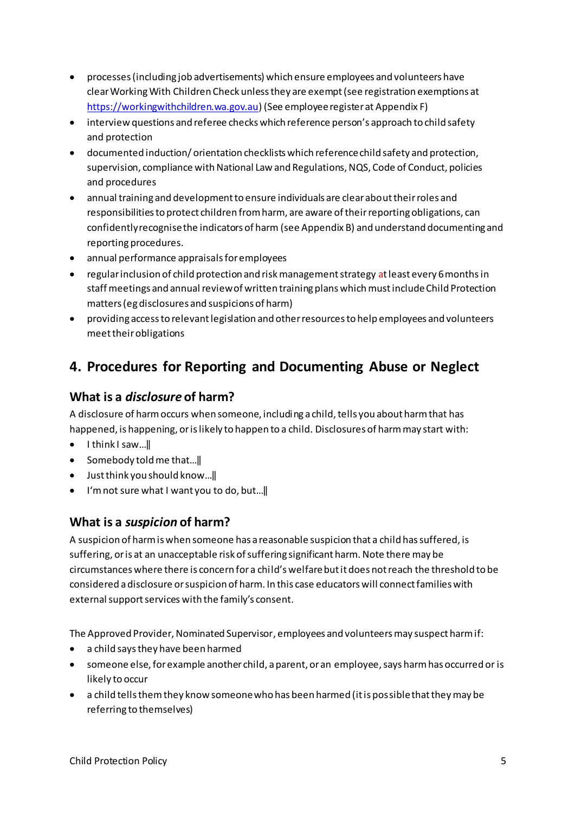- processes (including job advertisements) which ensure employees and volunteers have clear Working With Children Check unless they are exempt (see registration exemptions at https://workingwithchildren.wa.gov.au) (See employee register at Appendix F)
- interview questions and referee checks which reference person's approach to child safety and protection
- documented induction/orientation checklists which reference child safety and protection, supervision, compliance with National Law and Regulations, NQS, Code of Conduct, policies and procedures
- annual training and development to ensure individuals are clear about their roles and responsibilities to protect children from harm, are aware of their reporting obligations, can confidently recognise the indicators of harm (see Appendix B) and understand documenting and reporting procedures.
- annual performance appraisals for employees
- regular inclusion of child protection and risk management strategy at least every 6 months in staff meetings and annual review of written training plans which must include Child Protection matters (eg disclosures and suspicions of harm)
- providing access to relevant legislation and other resources to help employees and volunteers meet their obligations

## 4. Procedures for Reporting and Documenting Abuse or Neglect

### What is a *disclosure* of harm?

A disclosure of harm occurs when someone, including a child, tells you about harm that has happened, is happening, or is likely to happen to a child. Disclosures of harm may start with:

- $\bullet$  Ithink I saw...
- Somebody told me that... $\|$
- $\bullet$  Just think you should know...
- I'm not sure what I want you to do, but...

### What is a *suspicion* of harm?

A suspicion of harm is when someone has a reasonable suspicion that a child has suffered, is suffering, or is at an unacceptable risk of suffering significant harm. Note there may be circumstances where there is concern for a child's welfare but it does not reach the threshold to be considered a disclosure or suspicion of harm. In this case educators will connect families with external support services with the family's consent.

The Approved Provider, Nominated Supervisor, employees and volunteers may suspect harm if:

- a child says they have been harmed
- someone else, for example another child, a parent, or an employee, says harm has occurred or is likely to occur
- a child tells them they know someone who has been harmed (it is possible that they may be referring to themselves)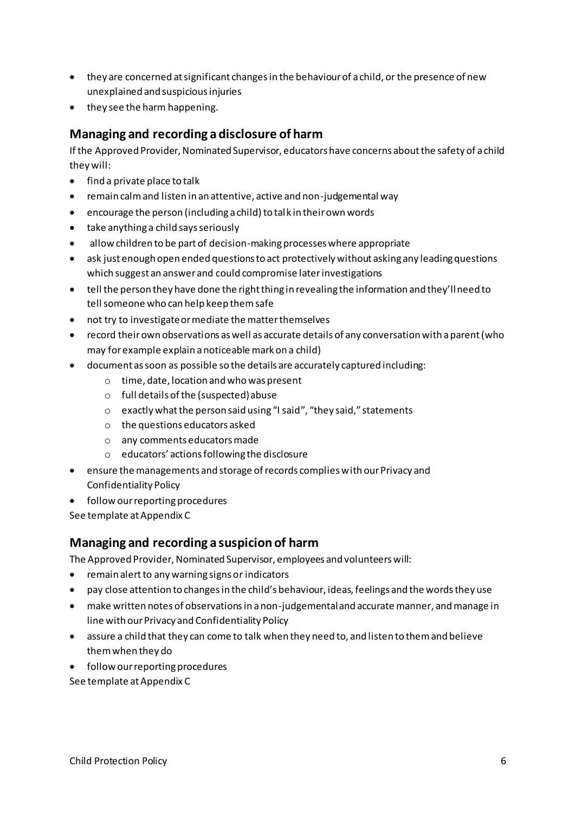- they are concerned at significant changes in the behaviour of a child, or the presence of new unexplained and suspicious injuries
- they see the harm happening.

### **Managing and recording a disclosure of harm**

If the Approved Provider, Nominated Supervisor, educators have concerns about the safety of a child they will:

- find a private place to talk
- remain calm and listen in an attentive, active and non-judgemental way
- encourage the person (including a child) to talk in their own words
- take anything a child says seriously
- allow children to be part of decision-making processes where appropriate
- ask just enough open ended questions to act protectively without asking any leading questions which suggest an answer and could compromise later investigations
- tell the person they have done the right thing in revealing the information and they'll need to tell someone who can help keep them safe
- not try to investigate or mediate the matter themselves
- record their own observations as well as accurate details of any conversation with a parent (who may for example explain a noticeable mark on a child)
- document as soon as possible so the details are accurately captured including:
	- o time, date, location and who was present
	- o full details of the (suspected) abuse
	- $\circ$  exactly what the person said using "I said", "they said," statements
	- o the questions educators asked
	- o any comments educators made
	- $\circ$  educators' actions following the disclosure
- ensure the managements and storage of records complies with our Privacy and Confidentiality Policy
- follow our reporting procedures

See template at Appendix C

#### **Managing and recording a suspicion of harm**

The Approved Provider, Nominated Supervisor, employees and volunteers will:

- remain alert to any warning signs or indicators
- pay close attention to changes in the child's behaviour, ideas, feelings and the words they use
- make written notes of observations in a non-judgemental and accurate manner, and manage in line with our Privacy and Confidentiality Policy
- assure a child that they can come to talk when they need to, and listen to them and believe them when they do
- follow our reporting procedures

See template at Appendix C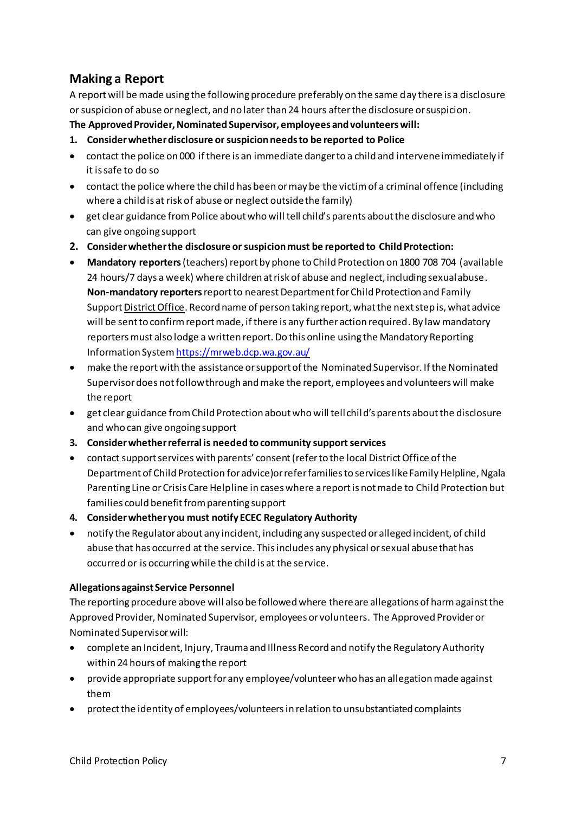### **Making a Report**

A report will be made using the following procedure preferably on the same day there is a disclosure or suspicion of abuse or neglect, and no later than 24 hours after the disclosure or suspicion.

The Approved Provider, Nominated Supervisor, employees and volunteers will:

- 1. Consider whether disclosure or suspicion needs to be reported to Police
- contact the police on 000 if there is an immediate danger to a child and intervene immediately if it is safe to do so
- contact the police where the child has been or may be the victim of a criminal offence (including where a child is at risk of abuse or neglect outside the family)
- get clear guidance from Police about who will tell child's parents about the disclosure and who can give ongoing support
- 2. Consider whether the disclosure or suspicion must be reported to Child Protection:
- Mandatory reporters (teachers) report by phone to Child Protection on 1800 708 704 (available 24 hours/7 days a week) where children at risk of abuse and neglect, including sexual abuse. Non-mandatory reporters report to nearest Department for Child Protection and Family Support District Office. Record name of person taking report, what the next step is, what advice will be sent to confirm report made, if there is any further action required. By law mandatory reporters must also lodge a written report. Do this online using the Mandatory Reporting Information System https://mrweb.dcp.wa.gov.au/
- make the report with the assistance or support of the Nominated Supervisor. If the Nominated Supervisor does not follow through and make the report, employees and volunteers will make the report
- get clear guidance from Child Protection about who will tell child's parents about the disclosure and who can give ongoing support
- 3. Consider whether referral is needed to community support services
- contact support services with parents' consent (refer to the local District Office of the Department of Child Protection for advice) or refer families to services like Family Helpline, Ngala Parenting Line or Crisis Care Helpline in cases where a report is not made to Child Protection but families could benefit from parenting support
- 4. Consider whether you must notify ECEC Regulatory Authority
- notify the Regulator about any incident, including any suspected or alleged incident, of child abuse that has occurred at the service. This includes any physical or sexual abuse that has occurred or is occurring while the child is at the service.

#### **Allegations against Service Personnel**

The reporting procedure above will also be followed where there are allegations of harm against the Approved Provider, Nominated Supervisor, employees or volunteers. The Approved Provider or Nominated Supervisor will:

- complete an Incident, Injury, Trauma and Illness Record and notify the Regulatory Authority within 24 hours of making the report
- provide appropriate support for any employee/volunteer who has an allegation made against them
- protect the identity of employees/volunteers in relation to unsubstantiated complaints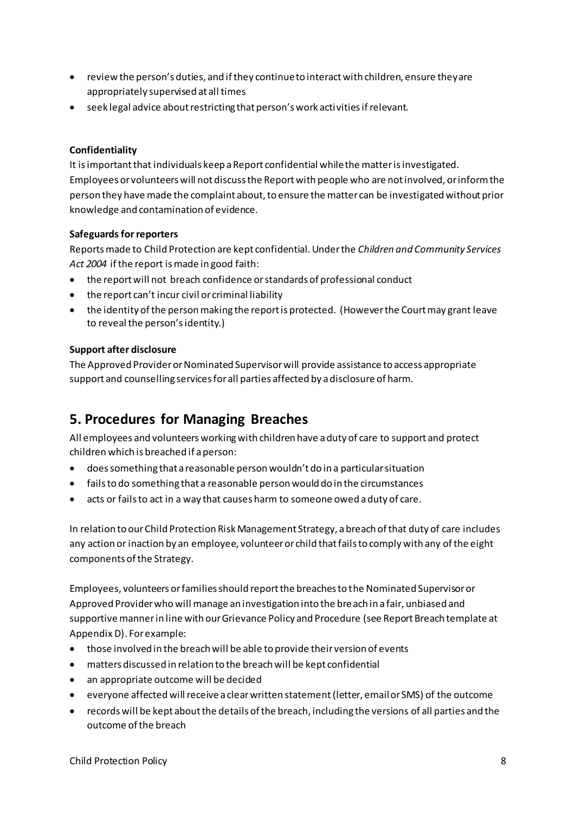- review the person's duties, and if they continue to interact with children, ensure they are appropriately supervised at all times
- seek legal advice about restricting that person's work activities if relevant.

#### Confidentiality

It is important that individuals keep a Report confidential while the matter is investigated. Employees or volunteers will not discuss the Report with people who are not involved, or inform the person they have made the complaint about, to ensure the matter can be investigated without prior knowledge and contamination of evidence.

#### **Safeguards for reporters**

Reports made to Child Protection are kept confidential. Under the Children and Community Services Act 2004 if the report is made in good faith:

- the report will not breach confidence or standards of professional conduct
- the report can't incur civil or criminal liability
- the identity of the person making the report is protected. (However the Court may grant leave to reveal the person's identity.)

#### **Support after disclosure**

The Approved Provider or Nominated Supervisor will provide assistance to access appropriate support and counselling services for all parties affected by a disclosure of harm.

## 5. Procedures for Managing Breaches

All employees and volunteers working with children have a duty of care to support and protect children which is breached if a person:

- does something that a reasonable person wouldn't do in a particular situation
- fails to do something that a reasonable person would do in the circumstances
- acts or fails to act in a way that causes harm to someone owed a duty of care.

In relation to our Child Protection Risk Management Strategy, a breach of that duty of care includes any action or inaction by an employee, volunteer or child that fails to comply with any of the eight components of the Strategy.

Employees, volunteers or families should report the breaches to the Nominated Supervisor or Approved Provider who will manage an investigation into the breach in a fair, unbiased and supportive manner in line with our Grievance Policy and Procedure (see Report Breach template at Appendix D). For example:

- those involved in the breach will be able to provide their version of events  $\bullet$
- matters discussed in relation to the breach will be kept confidential
- an appropriate outcome will be decided
- everyone affected will receive a clear written statement (letter, email or SMS) of the outcome
- records will be kept about the details of the breach, including the versions of all parties and the outcome of the breach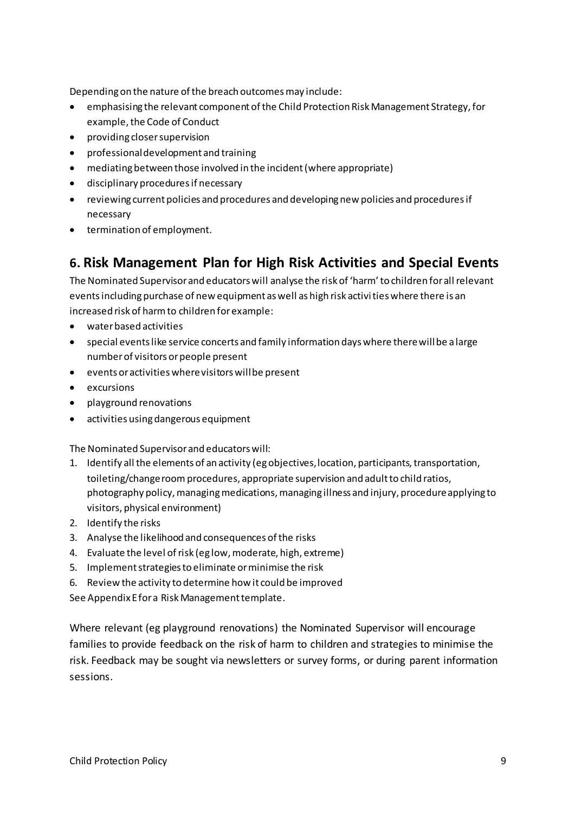Depending on the nature of the breach outcomes may include:

- emphasising the relevant component of the Child Protection Risk Management Strategy, for example, the Code of Conduct
- providing closer supervision
- professional development and training
- mediating between those involved in the incident (where appropriate)
- disciplinary procedures if necessary
- reviewing current policies and procedures and developing new policies and procedures if necessary
- termination of employment.

### **6. Risk Management Plan for High Risk Activities and Special Events**

The Nominated Supervisor and educators will analyse the risk of 'harm' to children for all relevant events including purchase of new equipment as well as high risk activi ties where there is an increased risk of harm to children for example:

- water based activities
- special events like service concerts and family information days where there will be a large number of visitors or people present
- events or activities where visitors will be present
- excursions
- playground renovations
- activities using dangerous equipment

The Nominated Supervisor and educators will:

- 1. Identify all the elements of an activity (eg objectives, location, participants, transportation, toileting/change room procedures, appropriate supervision and adult to child ratios, photography policy, managing medications, managing illness and injury, procedure applying to visitors, physical environment)
- 2. Identify the risks
- 3. Analyse the likelihood and consequences of the risks
- 4. Evaluate the level of risk (eg low, moderate, high, extreme)
- 5. Implement strategies to eliminate or minimise the risk
- 6. Review the activity to determine how it could be improved

See Appendix E for a Risk Management template.

Where relevant (eg playground renovations) the Nominated Supervisor will encourage families to provide feedback on the risk of harm to children and strategies to minimise the risk. Feedback may be sought via newsletters or survey forms, or during parent information sessions.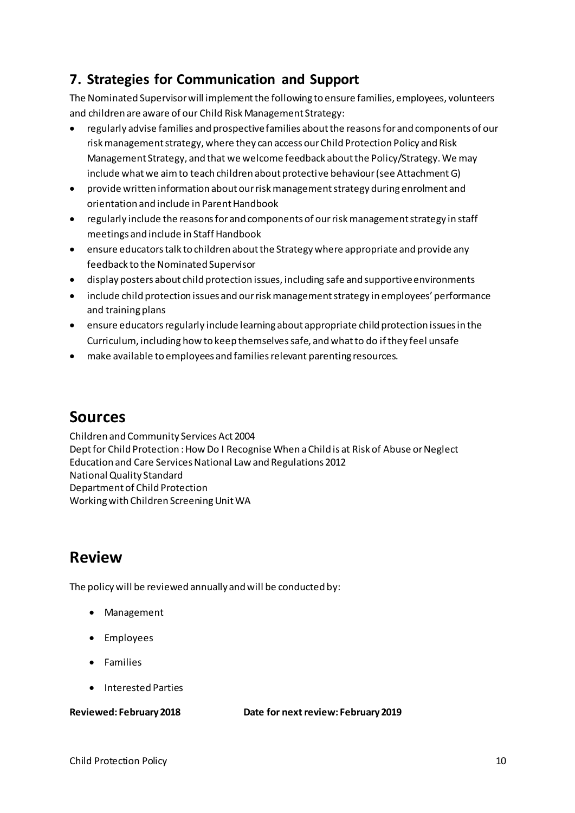## **7. Strategies for Communication and Support**

The Nominated Supervisor will implement the following to ensure families, employees, volunteers and children are aware of our Child Risk Management Strategy:

- regularly advise families and prospective families about the reasons for and components of our risk management strategy, where they can access our Child Protection Policy and Risk Management Strategy, and that we welcome feedback about the Policy/Strategy. We may include what we aim to teach children about protective behaviour (see Attachment G)
- provide written information about our risk management strategy during enrolment and orientation and include in Parent Handbook
- regularly include the reasons for and components of our risk management strategy in staff meetings and include in Staff Handbook
- ensure educators talk to children about the Strategy where appropriate and provide any feedback to the Nominated Supervisor
- display posters about child protection issues, including safe and supportive environments
- include child protection issues and our risk management strategy in employees' performance and training plans
- ensure educators regularly include learning about appropriate child protection issues in the Curriculum, including how to keep themselves safe, and what to do if they feel unsafe
- make available to employees and families relevant parenting resources.

## **Sources**

Children and Community Services Act 2004 Dept for Child Protection : How Do I Recognise When a Child is at Risk of Abuse or Neglect Education and Care Services National Law and Regulations 2012 National Quality Standard Department of Child Protection Working with Children Screening Unit WA

## **Review**

The policy will be reviewed annually and will be conducted by:

- Management
- Employees
- Families
- Interested Parties

**Reviewed: February 2018 Date for next review: February 2019**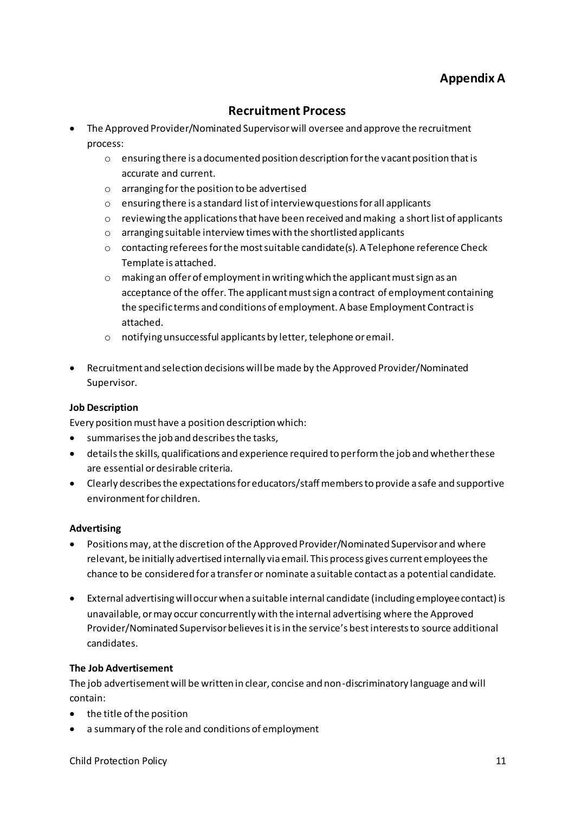### **Appendix A**

### **Recruitment Process**

- The Approved Provider/Nominated Supervisor will oversee and approve the recruitment process:
	- o ensuring there is a documented position description for the vacant position that is accurate and current.
	- o arranging for the position to be advertised
	- o ensuring there is a standard list of interview questions for all applicants
	- $\circ$  reviewing the applications that have been received and making a short list of applicants
	- o arranging suitable interview times with the shortlisted applicants
	- o contacting referees for the most suitable candidate(s). A Telephone reference Check Template is attached.
	- o making an offer of employment in writing which the applicant must sign as an acceptance of the offer. The applicant must sign a contract of employment containing the specific terms and conditions of employment. A base Employment Contract is attached.
	- o notifying unsuccessful applicants by letter, telephone or email.
- Recruitment and selection decisions will be made by the Approved Provider/Nominated Supervisor.

#### **Job Description**

Every position must have a position description which:

- summarises the job and describes the tasks,
- details the skills, qualifications and experience required to perform the job and whether these are essential or desirable criteria.
- Clearly describes the expectations for educators/staff members to provide a safe and supportive environment for children.

#### **Advertising**

- Positions may, at the discretion of the Approved Provider/Nominated Supervisor and where relevant, be initially advertised internally via email. This process gives current employees the chance to be considered for a transfer or nominate a suitable contact as a potential candidate.
- External advertising will occur when a suitable internal candidate (including employee contact) is unavailable, or may occur concurrently with the internal advertising where the Approved Provider/Nominated Supervisor believes it is in the service's best interests to source additional candidates.

#### **The Job Advertisement**

The job advertisement will be written in clear, concise and non-discriminatory language and will contain:

- the title of the position
- a summary of the role and conditions of employment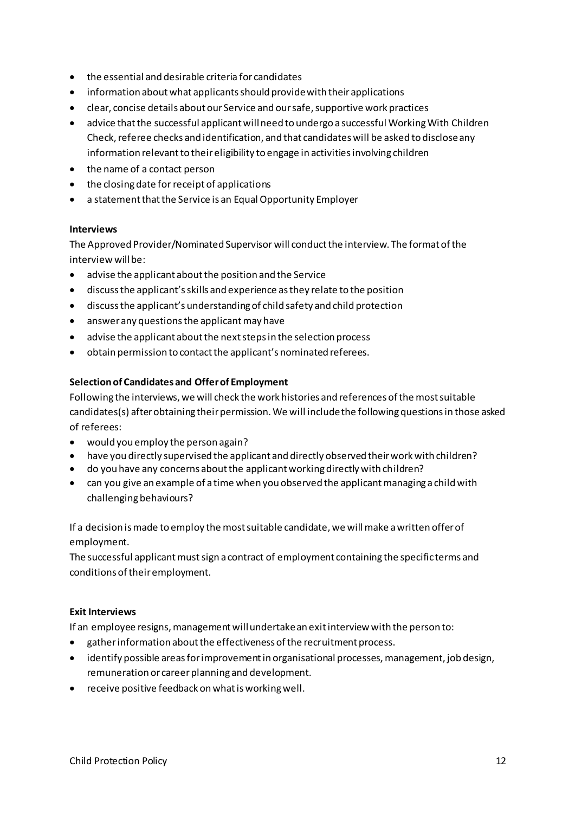- the essential and desirable criteria for candidates
- information about what applicants should provide with their applications
- clear, concise details about our Service and our safe, supportive work practices
- advice that the successful applicant will need to undergo a successful Working With Children Check, referee checks and identification, and that candidates will be asked to disclose any information relevant to their eligibility to engage in activities involving children
- the name of a contact person
- the closing date for receipt of applications
- a statement that the Service is an Equal Opportunity Employer

#### **Interviews**

The Approved Provider/Nominated Supervisor will conduct the interview. The format of the interview will be:

- advise the applicant about the position and the Service
- discuss the applicant's skills and experience as they relate to the position
- $\bullet$  discuss the applicant's understanding of child safety and child protection
- answer any questions the applicant may have
- advise the applicant about the next steps in the selection process
- obtain permission to contact the applicant's nominated referees.

#### **Selection of Candidates and Offer of Employment**

Following the interviews, we will check the work histories and references of the most suitable candidates(s) after obtaining their permission. We will include the following questions in those asked of referees:

- would you employ the person again?
- have you directly supervised the applicant and directly observed their work with children?
- do you have any concerns about the applicant working directly with children?
- can you give an example of a time when you observed the applicant managing a child with challenging behaviours?

If a decision is made to employ the most suitable candidate, we will make a written offer of employment.

The successful applicant must sign a contract of employment containing the specific terms and conditions of their employment.

#### **Exit Interviews**

If an employee resigns, management will undertake an exit interview with the person to:

- gather information about the effectiveness of the recruitment process.
- identify possible areas for improvement in organisational processes, management, job design, remuneration or career planning and development.
- receive positive feedback on what is working well.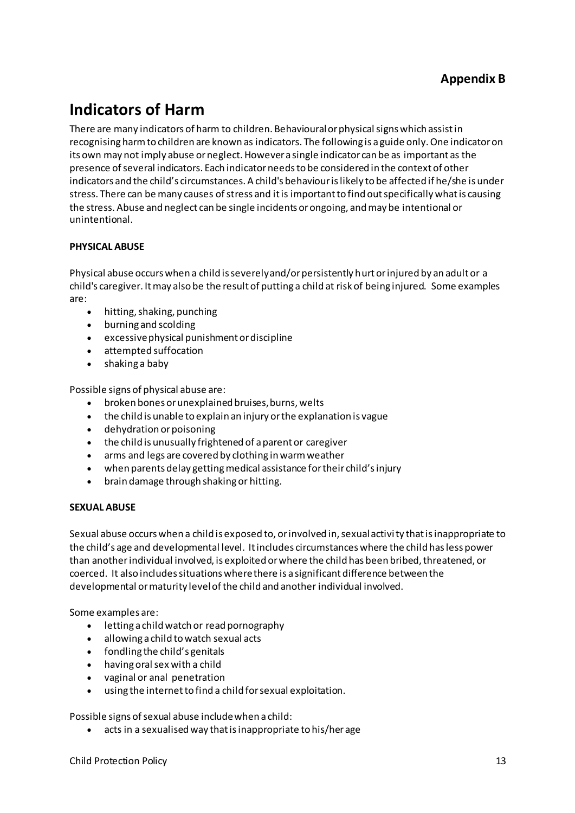# **Indicators of Harm**

There are many indicators of harm to children. Behavioural or physical signs which assist in recognising harm to children are known as indicators. The following is a guide only. One indicator on its own may not imply abuse or neglect. However a single indicator can be as important as the presence of several indicators. Each indicator needs to be considered in the context of other indicators and the child's circumstances. A child's behaviour is likely to be affected if he/she is under stress. There can be many causes of stress and it is important to find out specifically what is causing the stress. Abuse and neglect can be single incidents or ongoing, and may be intentional or unintentional.

#### **PHYSICAL ABUSE**

Physical abuse occurs when a child is severely and/or persistently hurt or injured by an adult or a child's caregiver. It may also be the result of putting a child at risk of being injured. Some examples are:

- hitting, shaking, punching
- burning and scolding
- excessive physical punishment or discipline
- attempted suffocation
- shaking a baby

Possible signs of physical abuse are:

- broken bones or unexplained bruises, burns, welts
- the child is unable to explain an injury or the explanation is vague
- dehydration or poisoning
- the child is unusually frightened of a parent or caregiver
- arms and legs are covered by clothing in warm weather
- when parents delay getting medical assistance for their child's injury
- brain damage through shaking or hitting.

#### **SEXUAL ABUSE**

Sexual abuse occurs when a child is exposed to, or involved in, sexual activi ty that is inappropriate to the child's age and developmental level. It includes circumstances where the child has less power than another individual involved, is exploited or where the child has been bribed, threatened, or coerced. It also includes situations where there is a significant difference between the developmental or maturity level of the child and another individual involved.

Some examples are:

- letting a child watch or read pornography
- allowing a child to watch sexual acts
- fondling the child's genitals
- having oral sex with a child
- vaginal or anal penetration
- using the internet to find a child for sexual exploitation.

Possible signs of sexual abuse include when a child:

• acts in a sexualised way that is inappropriate to his/her age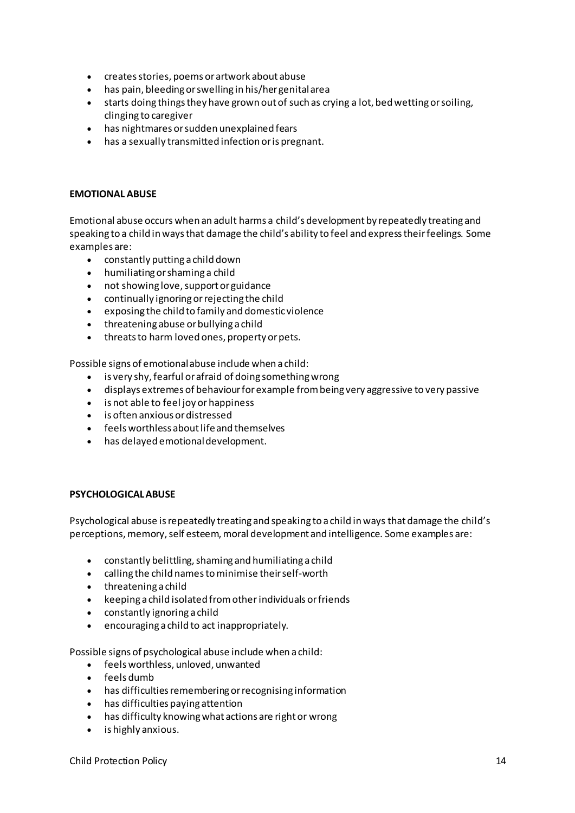- creates stories, poems or artwork about abuse
- has pain, bleeding or swelling in his/her genital area
- starts doing things they have grown out of such as crying a lot, bed wetting or soiling, clinging to caregiver
- has nightmares or sudden unexplained fears
- has a sexually transmitted infection or is pregnant.

#### **EMOTIONAL ABUSE**

Emotional abuse occurs when an adult harms a child's development by repeatedly treating and speaking to a child in ways that damage the child's ability to feel and express their feelings. Some examples are:

- constantly putting a child down  $\bullet$
- humiliating or shaming a child  $\bullet$
- not showing love, support or guidance
- continually ignoring or rejecting the child  $\bullet$
- exposing the child to family and domestic violence
- threatening abuse or bullying a child
- threats to harm loved ones, property or pets.

Possible signs of emotional abuse include when a child:

- is very shy, fearful or afraid of doing something wrong
- displays extremes of behaviour for example from being very aggressive to very passive
- is not able to feel joy or happiness
- is often anxious or distressed
- feels worthless about life and themselves
- has delayed emotional development.

#### **PSYCHOLOGICAL ABUSE**

Psychological abuse is repeatedly treating and speaking to a child in ways that damage the child's perceptions, memory, self esteem, moral development and intelligence. Some examples are:

- constantly belittling, shaming and humiliating a child
- calling the child names to minimise their self-worth
- $\bullet$  threatening a child
- keeping a child isolated from other individuals or friends
- constantly ignoring a child
- encouraging a child to act inappropriately.

Possible signs of psychological abuse include when a child:

- feels worthless, unloved, unwanted
- $\bullet$  feels dumb
- has difficulties remembering or recognising information
- has difficulties paying attention
- has difficulty knowing what actions are right or wrong
- is highly anxious.  $\bullet$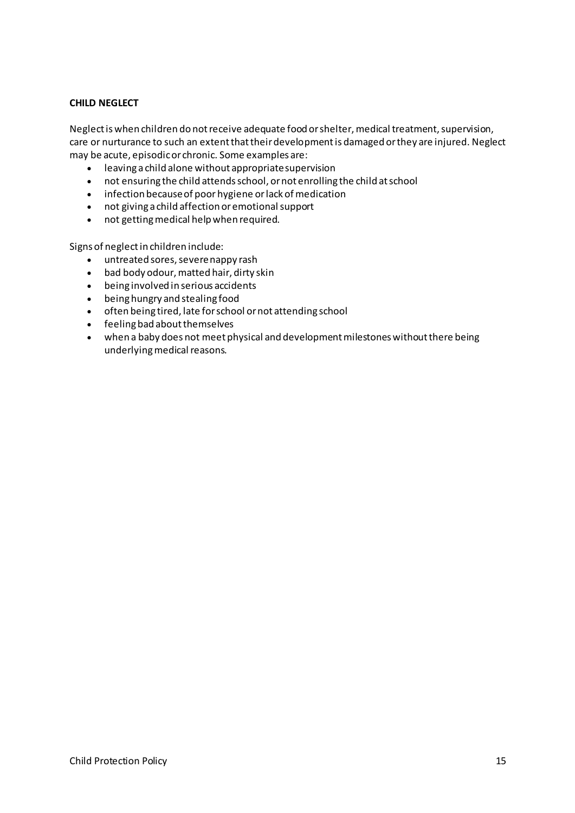#### **CHILD NEGLECT**

Neglect is when children do not receive adequate food or shelter, medical treatment, supervision, care or nurturance to such an extent that their development is damaged or they are injured. Neglect may be acute, episodic or chronic. Some examples are:

- leaving a child alone without appropriate supervision
- not ensuring the child attends school, or not enrolling the child at school
- infection because of poor hygiene or lack of medication
- not giving a child affection or emotional support
- not getting medical help when required.

Signs of neglect in children include:

- untreated sores, severe nappy rash
- bad body odour, matted hair, dirty skin
- being involved in serious accidents
- being hungry and stealing food
- often being tired, late for school or not attending school
- feeling bad about themselves
- when a baby does not meet physical and development milestones without there being underlying medical reasons.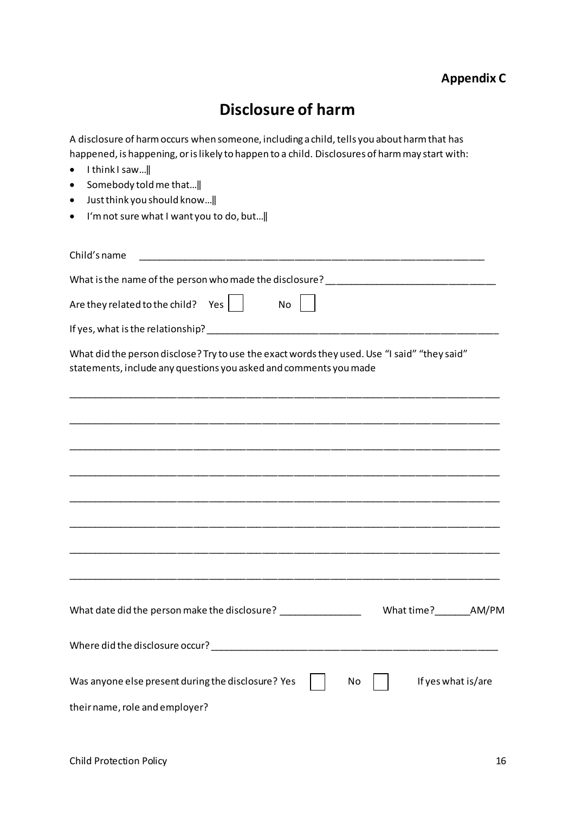# **Disclosure of harm**

A disclosure of harm occurs when someone, including a child, tells you about harm that has happened, is happening, or is likely to happen to a child. Disclosures of harm may start with:

- $\bullet$  Ithink I saw...
- Somebody told me that... ||
- $\bullet$  Just think you should know...  $\parallel$
- I'm not sure what I want you to do, but...||

| Child's name                                                                                                                                                      |
|-------------------------------------------------------------------------------------------------------------------------------------------------------------------|
|                                                                                                                                                                   |
| What is the name of the person who made the disclosure? _________________________                                                                                 |
| Are they related to the child? Yes $ $<br>No                                                                                                                      |
|                                                                                                                                                                   |
| What did the person disclose? Try to use the exact words they used. Use "I said" "they said"<br>statements, include any questions you asked and comments you made |
|                                                                                                                                                                   |
|                                                                                                                                                                   |
|                                                                                                                                                                   |
|                                                                                                                                                                   |
|                                                                                                                                                                   |
|                                                                                                                                                                   |
|                                                                                                                                                                   |
|                                                                                                                                                                   |
| What date did the person make the disclosure? _________________<br>What time? AM/PM                                                                               |
|                                                                                                                                                                   |
| Was anyone else present during the disclosure? Yes<br>If yes what is/are<br>No                                                                                    |
| their name, role and employer?                                                                                                                                    |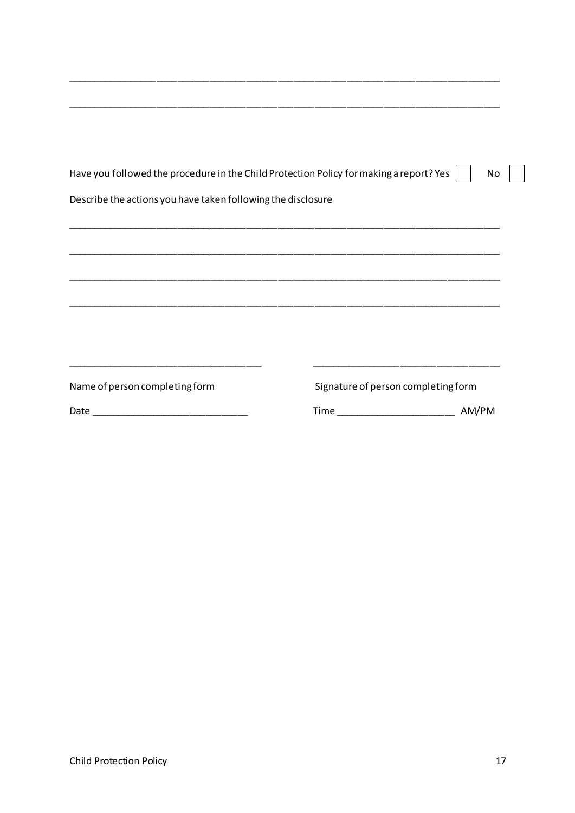| Have you followed the procedure in the Child Protection Policy for making a report? Yes |                                     | No    |
|-----------------------------------------------------------------------------------------|-------------------------------------|-------|
| Describe the actions you have taken following the disclosure                            |                                     |       |
|                                                                                         |                                     |       |
|                                                                                         |                                     |       |
|                                                                                         |                                     |       |
|                                                                                         |                                     |       |
|                                                                                         |                                     |       |
| Name of person completing form                                                          | Signature of person completing form |       |
|                                                                                         | Time __________________________     | AM/PM |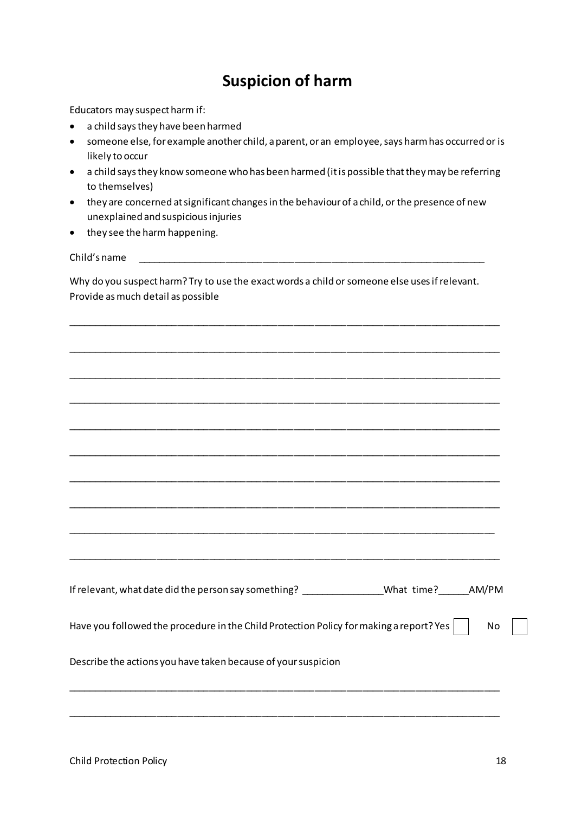## **Suspicion of harm**

Educators may suspect harm if:

- a child says they have been harmed
- someone else, for example another child, a parent, or an employee, says harm has occurred or is likely to occur
- a child says they know someone who has been harmed (it is possible that they may be referring to themselves)
- they are concerned at significant changes in the behaviour of a child, or the presence of new unexplained and suspicious injuries
- they see the harm happening.

Child's name

Why do you suspect harm? Try to use the exact words a child or someone else uses if relevant. Provide as much detail as possible

\_\_\_\_\_\_\_\_\_\_\_\_\_\_\_\_\_\_\_\_\_\_\_\_\_\_\_\_\_\_\_\_\_\_\_\_\_\_\_\_\_\_\_\_\_\_\_\_\_\_\_\_\_\_\_\_\_\_\_\_\_\_\_\_\_\_\_\_\_\_\_\_\_\_\_\_\_\_\_\_\_\_

| <u> 1989 - Johann Stoff, deutscher Stoff, der Stoff, der Stoff, der Stoff, der Stoff, der Stoff, der Stoff, der S</u> |  |  |  |  |  |  |
|-----------------------------------------------------------------------------------------------------------------------|--|--|--|--|--|--|
|                                                                                                                       |  |  |  |  |  |  |
|                                                                                                                       |  |  |  |  |  |  |
|                                                                                                                       |  |  |  |  |  |  |
|                                                                                                                       |  |  |  |  |  |  |
|                                                                                                                       |  |  |  |  |  |  |
| <u> 1989 - Andrea San Andrea Andrea Andrea Andrea Andrea Andrea Andrea Andrea Andrea Andrea Andrea Andrea Andrea</u>  |  |  |  |  |  |  |
|                                                                                                                       |  |  |  |  |  |  |
|                                                                                                                       |  |  |  |  |  |  |
| If relevant, what date did the person say something? __________________What time?_______AM/PM                         |  |  |  |  |  |  |
| Have you followed the procedure in the Child Protection Policy for making a report? Yes $\mid$<br>No                  |  |  |  |  |  |  |
| Describe the actions you have taken because of your suspicion                                                         |  |  |  |  |  |  |
|                                                                                                                       |  |  |  |  |  |  |
|                                                                                                                       |  |  |  |  |  |  |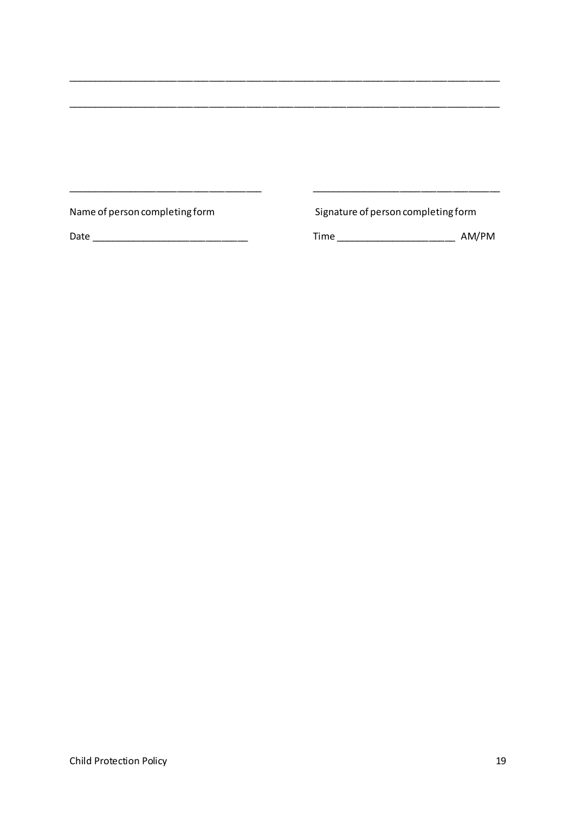Name of person completing form

Signature of person completing form

<u> 1980 - Jan James James Alexandro III (</u>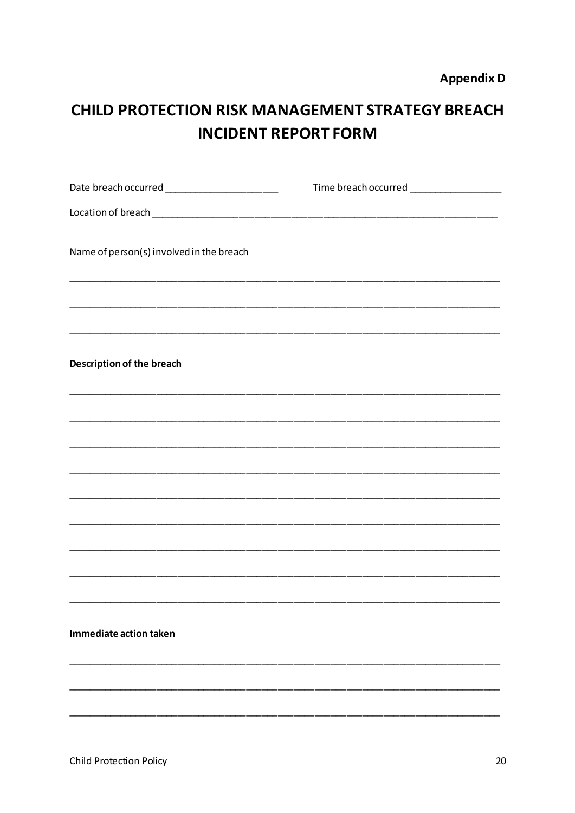# **CHILD PROTECTION RISK MANAGEMENT STRATEGY BREACH INCIDENT REPORT FORM**

| Name of person(s) involved in the breach |  |  |  |  |  |  |  |
|------------------------------------------|--|--|--|--|--|--|--|
|                                          |  |  |  |  |  |  |  |
|                                          |  |  |  |  |  |  |  |
| Description of the breach                |  |  |  |  |  |  |  |
|                                          |  |  |  |  |  |  |  |
|                                          |  |  |  |  |  |  |  |
|                                          |  |  |  |  |  |  |  |
|                                          |  |  |  |  |  |  |  |
|                                          |  |  |  |  |  |  |  |
|                                          |  |  |  |  |  |  |  |
|                                          |  |  |  |  |  |  |  |
| Immediate action taken                   |  |  |  |  |  |  |  |
|                                          |  |  |  |  |  |  |  |
|                                          |  |  |  |  |  |  |  |
|                                          |  |  |  |  |  |  |  |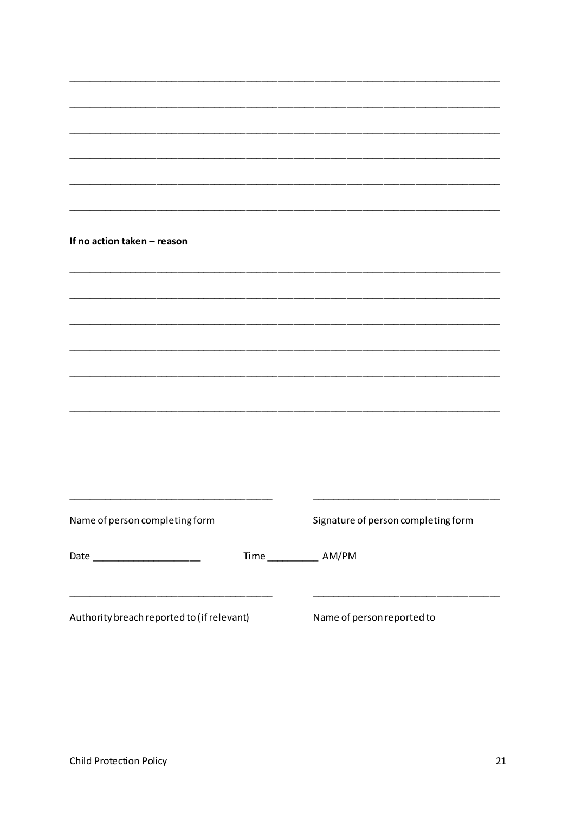| If no action taken - reason                |                            |                            |                                     |  |
|--------------------------------------------|----------------------------|----------------------------|-------------------------------------|--|
|                                            |                            |                            |                                     |  |
|                                            |                            |                            |                                     |  |
|                                            |                            |                            |                                     |  |
|                                            |                            |                            |                                     |  |
|                                            |                            |                            |                                     |  |
|                                            |                            |                            |                                     |  |
|                                            |                            |                            |                                     |  |
|                                            |                            |                            |                                     |  |
| Name of person completing form             |                            |                            | Signature of person completing form |  |
| Date ________________________              | Time _______________ AM/PM |                            |                                     |  |
| Authority breach reported to (if relevant) |                            | Name of person reported to |                                     |  |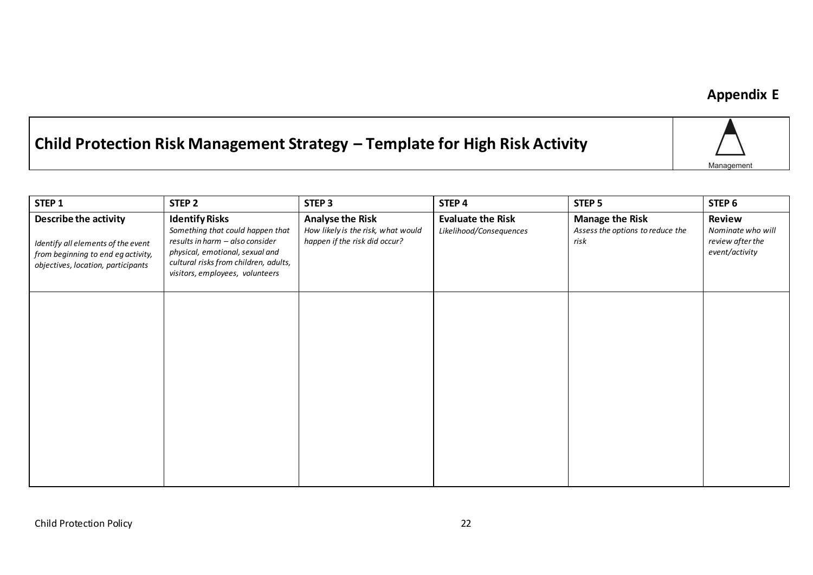## **Appendix E**

# **Child Protection Risk Management Strategy – Template for High Risk Activity**



| STEP <sub>1</sub>                                                                                                                       | STEP <sub>2</sub>                                                                                                                                                                                           | STEP <sub>3</sub>                                                                              | STEP 4                                              | STEP <sub>5</sub>                                                  | STEP <sub>6</sub>                                                 |
|-----------------------------------------------------------------------------------------------------------------------------------------|-------------------------------------------------------------------------------------------------------------------------------------------------------------------------------------------------------------|------------------------------------------------------------------------------------------------|-----------------------------------------------------|--------------------------------------------------------------------|-------------------------------------------------------------------|
| Describe the activity<br>Identify all elements of the event<br>from beginning to end eg activity,<br>objectives, location, participants | <b>Identify Risks</b><br>Something that could happen that<br>results in harm - also consider<br>physical, emotional, sexual and<br>cultural risks from children, adults,<br>visitors, employees, volunteers | <b>Analyse the Risk</b><br>How likely is the risk, what would<br>happen if the risk did occur? | <b>Evaluate the Risk</b><br>Likelihood/Consequences | <b>Manage the Risk</b><br>Assess the options to reduce the<br>risk | Review<br>Nominate who will<br>review after the<br>event/activity |
|                                                                                                                                         |                                                                                                                                                                                                             |                                                                                                |                                                     |                                                                    |                                                                   |
|                                                                                                                                         |                                                                                                                                                                                                             |                                                                                                |                                                     |                                                                    |                                                                   |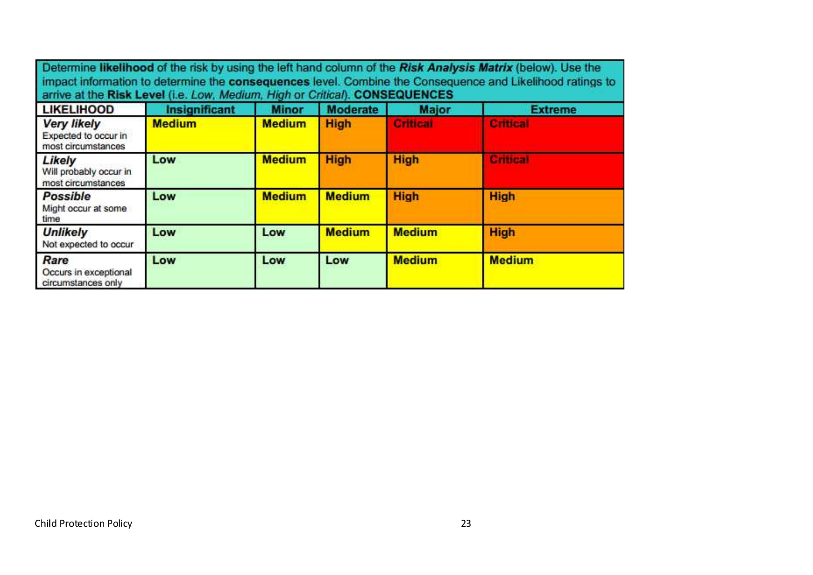| Determine likelihood of the risk by using the left hand column of the Risk Analysis Matrix (below). Use the<br>impact information to determine the consequences level. Combine the Consequence and Likelihood ratings to<br>arrive at the Risk Level (i.e. Low, Medium, High or Critical). CONSEQUENCES |                      |               |                 |                 |                 |  |  |
|---------------------------------------------------------------------------------------------------------------------------------------------------------------------------------------------------------------------------------------------------------------------------------------------------------|----------------------|---------------|-----------------|-----------------|-----------------|--|--|
| <b>LIKELIHOOD</b>                                                                                                                                                                                                                                                                                       | <b>Insignificant</b> | <b>Minor</b>  | <b>Moderate</b> | <b>Major</b>    | <b>Extreme</b>  |  |  |
| <b>Very likely</b><br>Expected to occur in<br>most circumstances                                                                                                                                                                                                                                        | <b>Medium</b>        | <b>Medium</b> | <b>High</b>     | <b>Critical</b> | <b>Critical</b> |  |  |
| Likely<br>Will probably occur in<br>most circumstances                                                                                                                                                                                                                                                  | Low                  | <b>Medium</b> | <b>High</b>     | <b>High</b>     | Critical        |  |  |
| <b>Possible</b><br>Might occur at some<br>time                                                                                                                                                                                                                                                          | Low                  | <b>Medium</b> | <b>Medium</b>   | <b>High</b>     | <b>High</b>     |  |  |
| <b>Unlikely</b><br>Not expected to occur                                                                                                                                                                                                                                                                | Low                  | Low           | <b>Medium</b>   | <b>Medium</b>   | <b>High</b>     |  |  |
| Rare<br>Occurs in exceptional<br>circumstances only                                                                                                                                                                                                                                                     | Low                  | Low           | <b>Low</b>      | <b>Medium</b>   | <b>Medium</b>   |  |  |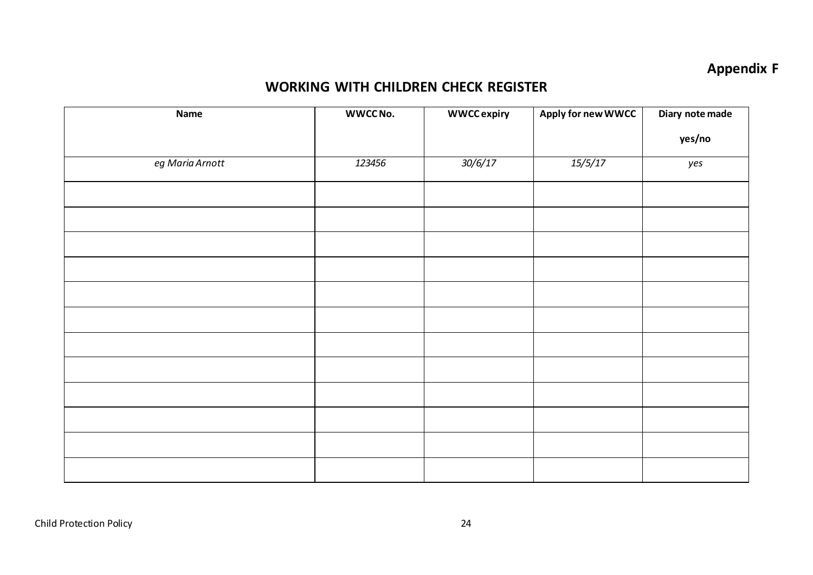## **Appendix F**

### **WORKING WITH CHILDREN CHECK REGISTER**

| Name            | WWCC No. | <b>WWCCexpiry</b> | Apply for new WWCC | Diary note made |
|-----------------|----------|-------------------|--------------------|-----------------|
|                 |          |                   |                    | yes/no          |
| eg Maria Arnott | 123456   | 30/6/17           | 15/5/17            | yes             |
|                 |          |                   |                    |                 |
|                 |          |                   |                    |                 |
|                 |          |                   |                    |                 |
|                 |          |                   |                    |                 |
|                 |          |                   |                    |                 |
|                 |          |                   |                    |                 |
|                 |          |                   |                    |                 |
|                 |          |                   |                    |                 |
|                 |          |                   |                    |                 |
|                 |          |                   |                    |                 |
|                 |          |                   |                    |                 |
|                 |          |                   |                    |                 |